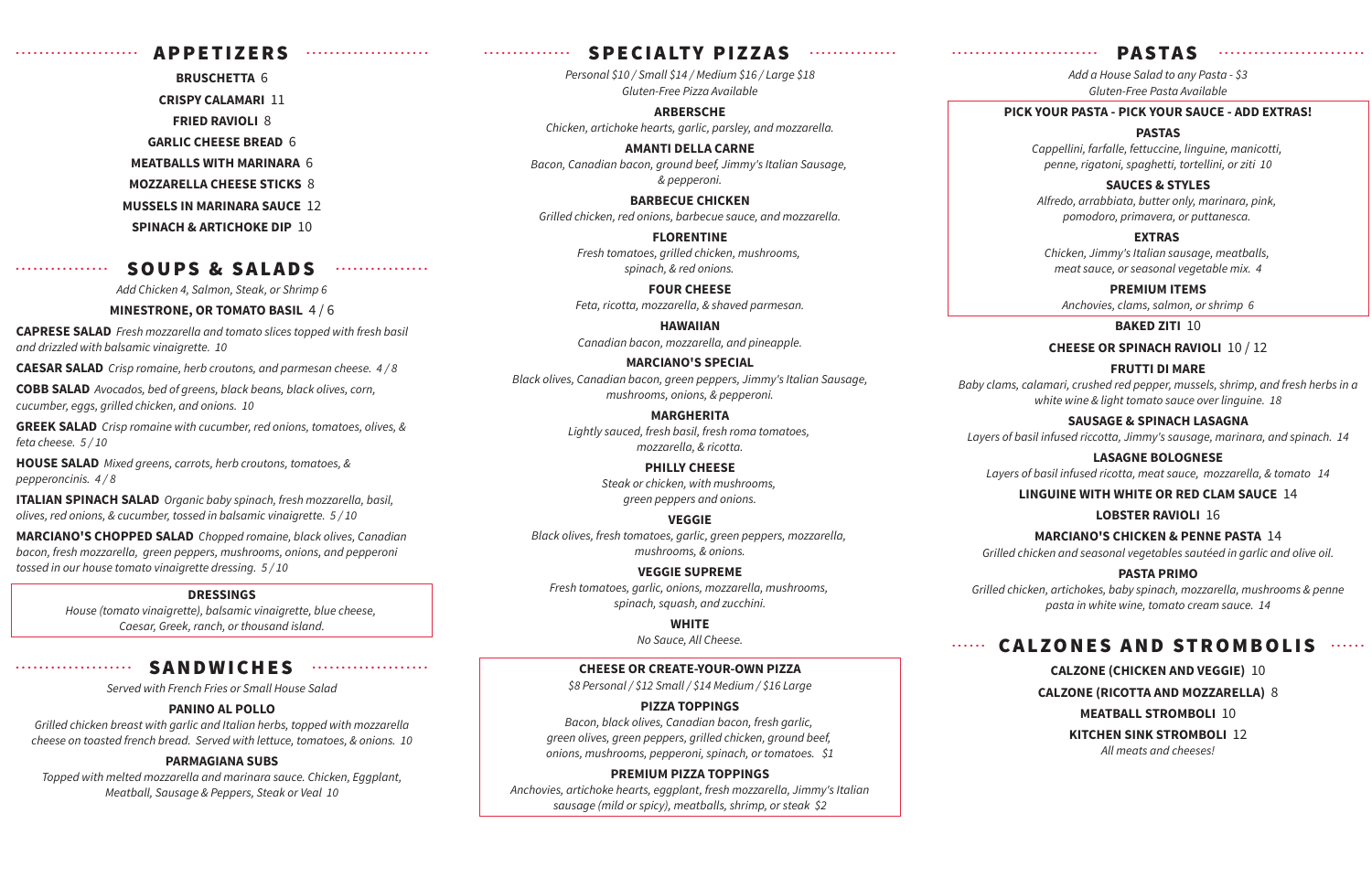#### ààààààààààààààààààààà APPETIZERS ààààààààààààààààààààà

**BRUSCHETTA** 6 **CRISPY CALAMARI** 11 **FRIED RAVIOLI** 8 **GARLIC CHEESE BREAD** 6 **MEATBALLS WITH MARINARA** 6 **MOZZARELLA CHEESE STICKS** 8 **MUSSELS IN MARINARA SAUCE** 12 **SPINACH & ARTICHOKE DIP** 10

#### àààààààààààààààà SOUPS & SALADS àààààààààààààààà

*Add Chicken 4, Salmon, Steak, or Shrimp 6*

#### **MINESTRONE, OR TOMATO BASIL** 4 / 6

**CAPRESE SALAD** *Fresh mozzarella and tomato slices topped with fresh basil and drizzled with balsamic vinaigrette. 10*

**CAESAR SALAD** *Crisp romaine, herb croutons, and parmesan cheese. 4 / 8*

**COBB SALAD** *Avocados, bed of greens, black beans, black olives, corn, cucumber, eggs, grilled chicken, and onions. 10*

**GREEK SALAD** *Crisp romaine with cucumber, red onions, tomatoes, olives, & feta cheese. 5 / 10*

**HOUSE SALAD** *Mixed greens, carrots, herb croutons, tomatoes, & pepperoncinis. 4 / 8*

**ITALIAN SPINACH SALAD** *Organic baby spinach, fresh mozzarella, basil, olives, red onions, & cucumber, tossed in balsamic vinaigrette. 5 / 10*

**MARCIANO'S CHOPPED SALAD** *Chopped romaine, black olives, Canadian bacon, fresh mozzarella, green peppers, mushrooms, onions, and pepperoni tossed in our house tomato vinaigrette dressing. 5 / 10*

#### **DRESSINGS**

*House (tomato vinaigrette), balsamic vinaigrette, blue cheese, Caesar, Greek, ranch, or thousand island.*

#### àààààààààààààààààààà SANDWICHES àààààààààààààààààààà

*Served with French Fries or Small House Salad*

#### **PANINO AL POLLO**

*Grilled chicken breast with garlic and Italian herbs, topped with mozzarella cheese on toasted french bread. Served with lettuce, tomatoes, & onions. 10*

#### **PARMAGIANA SUBS**

*Topped with melted mozzarella and marinara sauce. Chicken, Eggplant, Meatball, Sausage & Peppers, Steak or Veal 10*

## **bààaà**àaadaan SPECIALTY PIZZAS

*Personal \$10 / Small \$14 / Medium \$16 / Large \$18 Gluten-Free Pizza Available*

**ARBERSCHE** *Chicken, artichoke hearts, garlic, parsley, and mozzarella.*

**AMANTI DELLA CARNE** *Bacon, Canadian bacon, ground beef, Jimmy's Italian Sausage, & pepperoni.*

**BARBECUE CHICKEN** *Grilled chicken, red onions, barbecue sauce, and mozzarella.*

> **FLORENTINE** *Fresh tomatoes, grilled chicken, mushrooms, spinach, & red onions.*

**FOUR CHEESE** *Feta, ricotta, mozzarella, & shaved parmesan.*

**HAWAIIAN** *Canadian bacon, mozzarella, and pineapple.*

#### **MARCIANO'S SPECIAL**

*Black olives, Canadian bacon, green peppers, Jimmy's Italian Sausage, mushrooms, onions, & pepperoni.*

#### **MARGHERITA**

*Lightly sauced, fresh basil, fresh roma tomatoes, mozzarella, & ricotta.*

> **PHILLY CHEESE** *Steak or chicken, with mushrooms, green peppers and onions.*

#### **VEGGIE**

*Black olives, fresh tomatoes, garlic, green peppers, mozzarella, mushrooms, & onions.*

#### **VEGGIE SUPREME**

*Fresh tomatoes, garlic, onions, mozzarella, mushrooms, spinach, squash, and zucchini.*

#### **WHITE**

*No Sauce, All Cheese.*

#### **CHEESE OR CREATE-YOUR-OWN PIZZA**

*\$8 Personal / \$12 Small / \$14 Medium / \$16 Large*

#### **PIZZA TOPPINGS**

*Bacon, black olives, Canadian bacon, fresh garlic, green olives, green peppers, grilled chicken, ground beef, onions, mushrooms, pepperoni, spinach, or tomatoes. \$1*

#### **PREMIUM PIZZA TOPPINGS**

*Anchovies, artichoke hearts, eggplant, fresh mozzarella, Jimmy's Italian sausage (mild or spicy), meatballs, shrimp, or steak \$2*

## ààààààààààààààààààààààààà PA STA S ààààààààààààààààààààààààà

*Add a House Salad to any Pasta - \$3 Gluten-Free Pasta Available*

#### **PICK YOUR PASTA - PICK YOUR SAUCE - ADD EXTRAS!**

#### **PASTAS**

*Cappellini, farfalle, fettuccine, linguine, manicotti, penne, rigatoni, spaghetti, tortellini, or ziti 10*

#### **SAUCES & STYLES**

*Alfredo, arrabbiata, butter only, marinara, pink, pomodoro, primavera, or puttanesca.* 

#### **EXTRAS**

*Chicken, Jimmy's Italian sausage, meatballs, meat sauce, or seasonal vegetable mix. 4*

#### **PREMIUM ITEMS**

*Anchovies, clams, salmon, or shrimp 6*

#### **BAKED ZITI** 10

**CHEESE OR SPINACH RAVIOLI** 10 / 12

#### **FRUTTI DI MARE**

*Baby clams, calamari, crushed red pepper, mussels, shrimp, and fresh herbs in a white wine & light tomato sauce over linguine. 18*

#### **SAUSAGE & SPINACH LASAGNA**

*Layers of basil infused riccotta, Jimmy's sausage, marinara, and spinach. 14*

#### **LASAGNE BOLOGNESE**

*Layers of basil infused ricotta, meat sauce, mozzarella, & tomato 14*

#### **LINGUINE WITH WHITE OR RED CLAM SAUCE** 14

#### **LOBSTER RAVIOLI** 16

#### **MARCIANO'S CHICKEN & PENNE PASTA** 14

*Grilled chicken and seasonal vegetables sautéed in garlic and olive oil.*

#### **PASTA PRIMO**

*Grilled chicken, artichokes, baby spinach, mozzarella, mushrooms & penne pasta in white wine, tomato cream sauce. 14*

## CALZONES AND STROMBOLIS And

#### **CALZONE (CHICKEN AND VEGGIE)** 10

**CALZONE (RICOTTA AND MOZZARELLA)** 8

#### **MEATBALL STROMBOLI** 10

**KITCHEN SINK STROMBOLI** 12 *All meats and cheeses!*